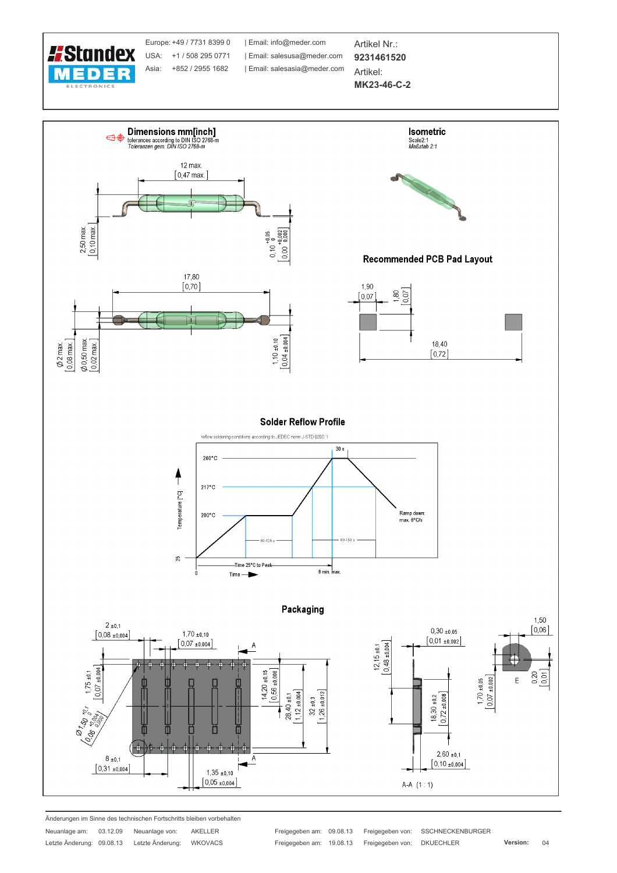



Änderungen im Sinne des technischen Fortschritts bleiben vorbehalten

| Neuanlage am:    | 03.12.09 | Neuanlage von:   | <b>AKELLER</b> |
|------------------|----------|------------------|----------------|
| Letzte Änderung: | 09.08.13 | Letzte Änderung: | <b>WKOVACS</b> |

SSCHNECKENBURGER **DKUECHLER**